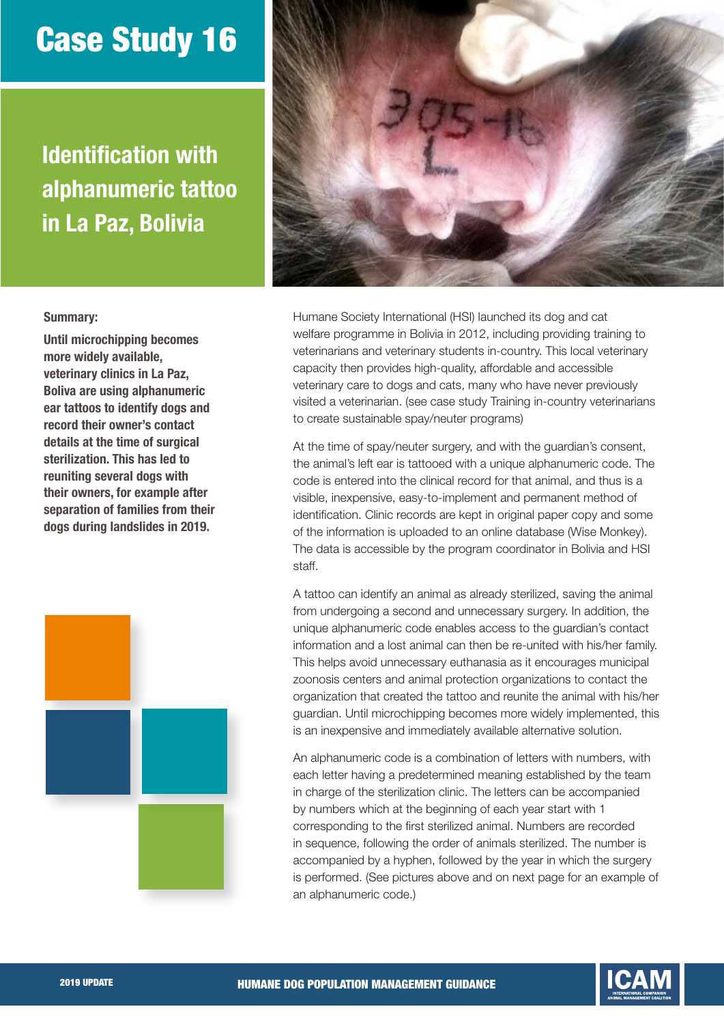## Case Study 16

Identification with alphanumeric tattoo in La Paz, Bolivia



## Summary:

Until microchipping becomes more widely available, veterinary clinics in La Paz, Boliva are using alphanumeric ear tattoos to identify dogs and record their owner's contact details at the time of surgical sterilization. This has led to reuniting several dogs with their owners, for example after separation of families from their dogs during landslides in 2019.



Humane Society International (HSI) launched its dog and cat welfare programme in Bolivia in 2012, including providing training to veterinarians and veterinary students in-country. This local veterinary capacity then provides high-quality, affordable and accessible veterinary care to dogs and cats, many who have never previously visited a veterinarian. (see case study Training in-country veterinarians to create sustainable spay/neuter programs)

At the time of spay/neuter surgery, and with the guardian's consent, the animal's left ear is tattooed with a unique alphanumeric code. The code is entered into the clinical record for that animal, and thus is a visible, inexpensive, easy-to-implement and permanent method of identification. Clinic records are kept in original paper copy and some of the information is uploaded to an online database (Wise Monkey). The data is accessible by the program coordinator in Bolivia and HSI staff.

A tattoo can identify an animal as already sterilized, saving the animal from undergoing a second and unnecessary surgery. In addition, the unique alphanumeric code enables access to the guardian's contact information and a lost animal can then be re-united with his/her family. This helps avoid unnecessary euthanasia as it encourages municipal zoonosis centers and animal protection organizations to contact the organization that created the tattoo and reunite the animal with his/her guardian. Until microchipping becomes more widely implemented, this is an inexpensive and immediately available alternative solution.

An alphanumeric code is a combination of letters with numbers, with each letter having a predetermined meaning established by the team in charge of the sterilization clinic. The letters can be accompanied by numbers which at the beginning of each year start with 1 corresponding to the first sterilized animal. Numbers are recorded in sequence, following the order of animals sterilized. The number is accompanied by a hyphen, followed by the year in which the surgery is performed. (See pictures above and on next page for an example of an alphanumeric code.)